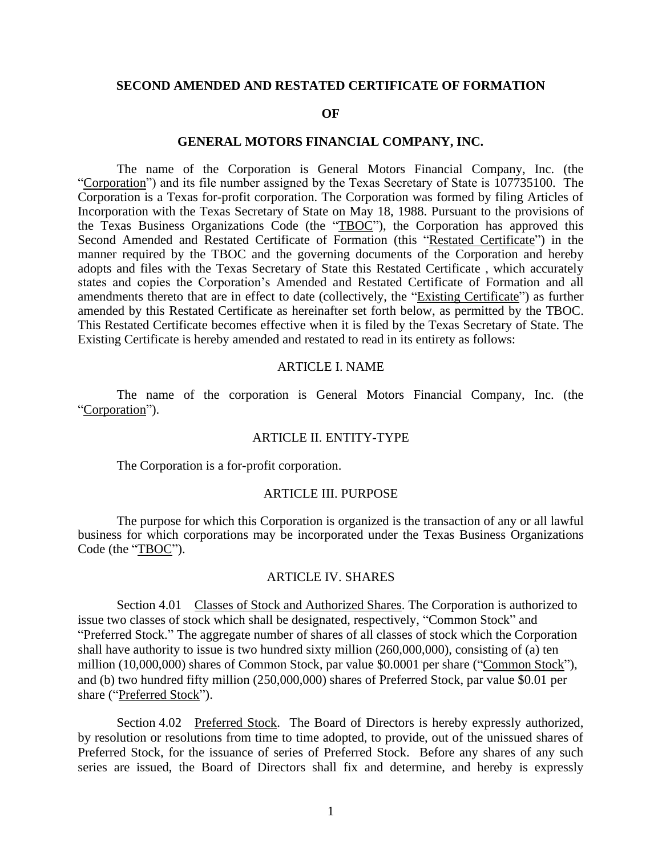### **SECOND AMENDED AND RESTATED CERTIFICATE OF FORMATION**

#### **OF**

### **GENERAL MOTORS FINANCIAL COMPANY, INC.**

The name of the Corporation is General Motors Financial Company, Inc. (the "Corporation") and its file number assigned by the Texas Secretary of State is 107735100. The Corporation is a Texas for-profit corporation. The Corporation was formed by filing Articles of Incorporation with the Texas Secretary of State on May 18, 1988. Pursuant to the provisions of the Texas Business Organizations Code (the "TBOC"), the Corporation has approved this Second Amended and Restated Certificate of Formation (this "Restated Certificate") in the manner required by the TBOC and the governing documents of the Corporation and hereby adopts and files with the Texas Secretary of State this Restated Certificate , which accurately states and copies the Corporation's Amended and Restated Certificate of Formation and all amendments thereto that are in effect to date (collectively, the "Existing Certificate") as further amended by this Restated Certificate as hereinafter set forth below, as permitted by the TBOC. This Restated Certificate becomes effective when it is filed by the Texas Secretary of State. The Existing Certificate is hereby amended and restated to read in its entirety as follows:

### ARTICLE I. NAME

The name of the corporation is General Motors Financial Company, Inc. (the "Corporation").

### ARTICLE II. ENTITY-TYPE

The Corporation is a for-profit corporation.

## ARTICLE III. PURPOSE

The purpose for which this Corporation is organized is the transaction of any or all lawful business for which corporations may be incorporated under the Texas Business Organizations Code (the "TBOC").

### ARTICLE IV. SHARES

Section 4.01 Classes of Stock and Authorized Shares. The Corporation is authorized to issue two classes of stock which shall be designated, respectively, "Common Stock" and "Preferred Stock." The aggregate number of shares of all classes of stock which the Corporation shall have authority to issue is two hundred sixty million (260,000,000), consisting of (a) ten million (10,000,000) shares of Common Stock, par value \$0.0001 per share ("Common Stock"), and (b) two hundred fifty million (250,000,000) shares of Preferred Stock, par value \$0.01 per share ("Preferred Stock").

Section 4.02 Preferred Stock. The Board of Directors is hereby expressly authorized, by resolution or resolutions from time to time adopted, to provide, out of the unissued shares of Preferred Stock, for the issuance of series of Preferred Stock. Before any shares of any such series are issued, the Board of Directors shall fix and determine, and hereby is expressly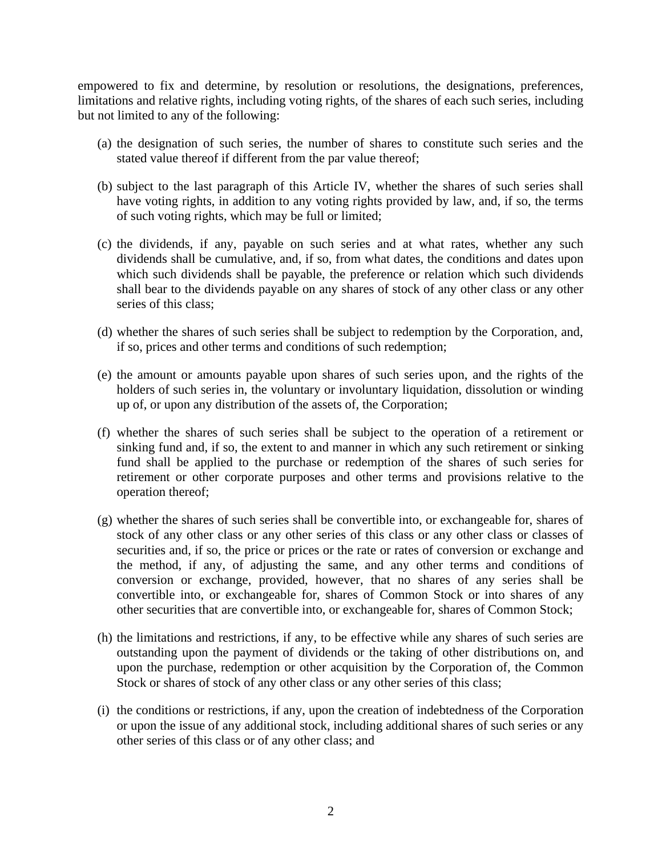empowered to fix and determine, by resolution or resolutions, the designations, preferences, limitations and relative rights, including voting rights, of the shares of each such series, including but not limited to any of the following:

- (a) the designation of such series, the number of shares to constitute such series and the stated value thereof if different from the par value thereof;
- (b) subject to the last paragraph of this Article IV, whether the shares of such series shall have voting rights, in addition to any voting rights provided by law, and, if so, the terms of such voting rights, which may be full or limited;
- (c) the dividends, if any, payable on such series and at what rates, whether any such dividends shall be cumulative, and, if so, from what dates, the conditions and dates upon which such dividends shall be payable, the preference or relation which such dividends shall bear to the dividends payable on any shares of stock of any other class or any other series of this class;
- (d) whether the shares of such series shall be subject to redemption by the Corporation, and, if so, prices and other terms and conditions of such redemption;
- (e) the amount or amounts payable upon shares of such series upon, and the rights of the holders of such series in, the voluntary or involuntary liquidation, dissolution or winding up of, or upon any distribution of the assets of, the Corporation;
- (f) whether the shares of such series shall be subject to the operation of a retirement or sinking fund and, if so, the extent to and manner in which any such retirement or sinking fund shall be applied to the purchase or redemption of the shares of such series for retirement or other corporate purposes and other terms and provisions relative to the operation thereof;
- (g) whether the shares of such series shall be convertible into, or exchangeable for, shares of stock of any other class or any other series of this class or any other class or classes of securities and, if so, the price or prices or the rate or rates of conversion or exchange and the method, if any, of adjusting the same, and any other terms and conditions of conversion or exchange, provided, however, that no shares of any series shall be convertible into, or exchangeable for, shares of Common Stock or into shares of any other securities that are convertible into, or exchangeable for, shares of Common Stock;
- (h) the limitations and restrictions, if any, to be effective while any shares of such series are outstanding upon the payment of dividends or the taking of other distributions on, and upon the purchase, redemption or other acquisition by the Corporation of, the Common Stock or shares of stock of any other class or any other series of this class;
- (i) the conditions or restrictions, if any, upon the creation of indebtedness of the Corporation or upon the issue of any additional stock, including additional shares of such series or any other series of this class or of any other class; and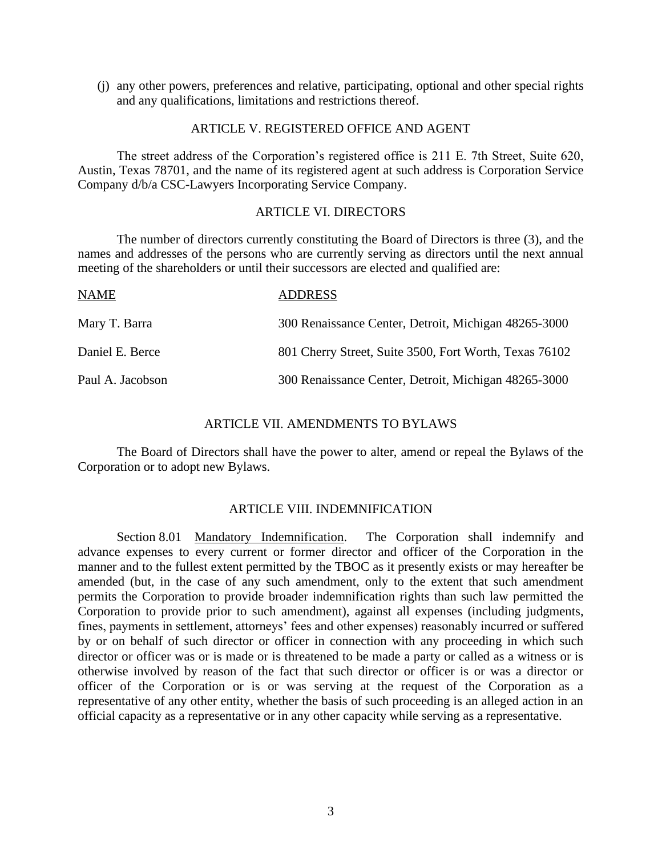(j) any other powers, preferences and relative, participating, optional and other special rights and any qualifications, limitations and restrictions thereof.

## ARTICLE V. REGISTERED OFFICE AND AGENT

The street address of the Corporation's registered office is 211 E. 7th Street, Suite 620, Austin, Texas 78701, and the name of its registered agent at such address is Corporation Service Company d/b/a CSC-Lawyers Incorporating Service Company.

## ARTICLE VI. DIRECTORS

The number of directors currently constituting the Board of Directors is three (3), and the names and addresses of the persons who are currently serving as directors until the next annual meeting of the shareholders or until their successors are elected and qualified are:

| <b>NAME</b>      | <b>ADDRESS</b>                                         |
|------------------|--------------------------------------------------------|
| Mary T. Barra    | 300 Renaissance Center, Detroit, Michigan 48265-3000   |
| Daniel E. Berce  | 801 Cherry Street, Suite 3500, Fort Worth, Texas 76102 |
| Paul A. Jacobson | 300 Renaissance Center, Detroit, Michigan 48265-3000   |

# ARTICLE VII. AMENDMENTS TO BYLAWS

The Board of Directors shall have the power to alter, amend or repeal the Bylaws of the Corporation or to adopt new Bylaws.

# ARTICLE VIII. INDEMNIFICATION

Section 8.01 Mandatory Indemnification. The Corporation shall indemnify and advance expenses to every current or former director and officer of the Corporation in the manner and to the fullest extent permitted by the TBOC as it presently exists or may hereafter be amended (but, in the case of any such amendment, only to the extent that such amendment permits the Corporation to provide broader indemnification rights than such law permitted the Corporation to provide prior to such amendment), against all expenses (including judgments, fines, payments in settlement, attorneys' fees and other expenses) reasonably incurred or suffered by or on behalf of such director or officer in connection with any proceeding in which such director or officer was or is made or is threatened to be made a party or called as a witness or is otherwise involved by reason of the fact that such director or officer is or was a director or officer of the Corporation or is or was serving at the request of the Corporation as a representative of any other entity, whether the basis of such proceeding is an alleged action in an official capacity as a representative or in any other capacity while serving as a representative.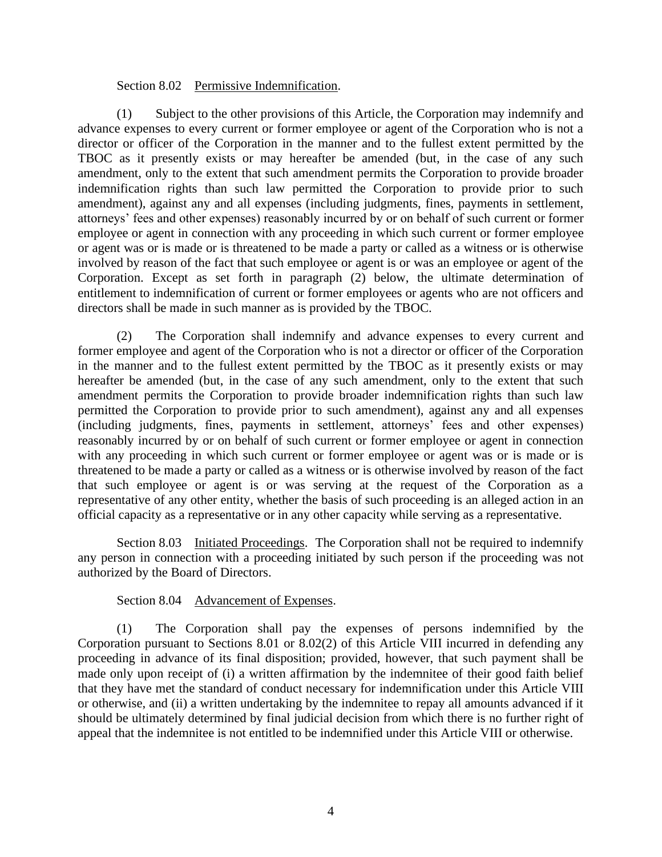# Section 8.02 Permissive Indemnification.

(1) Subject to the other provisions of this Article, the Corporation may indemnify and advance expenses to every current or former employee or agent of the Corporation who is not a director or officer of the Corporation in the manner and to the fullest extent permitted by the TBOC as it presently exists or may hereafter be amended (but, in the case of any such amendment, only to the extent that such amendment permits the Corporation to provide broader indemnification rights than such law permitted the Corporation to provide prior to such amendment), against any and all expenses (including judgments, fines, payments in settlement, attorneys' fees and other expenses) reasonably incurred by or on behalf of such current or former employee or agent in connection with any proceeding in which such current or former employee or agent was or is made or is threatened to be made a party or called as a witness or is otherwise involved by reason of the fact that such employee or agent is or was an employee or agent of the Corporation. Except as set forth in paragraph (2) below, the ultimate determination of entitlement to indemnification of current or former employees or agents who are not officers and directors shall be made in such manner as is provided by the TBOC.

(2) The Corporation shall indemnify and advance expenses to every current and former employee and agent of the Corporation who is not a director or officer of the Corporation in the manner and to the fullest extent permitted by the TBOC as it presently exists or may hereafter be amended (but, in the case of any such amendment, only to the extent that such amendment permits the Corporation to provide broader indemnification rights than such law permitted the Corporation to provide prior to such amendment), against any and all expenses (including judgments, fines, payments in settlement, attorneys' fees and other expenses) reasonably incurred by or on behalf of such current or former employee or agent in connection with any proceeding in which such current or former employee or agent was or is made or is threatened to be made a party or called as a witness or is otherwise involved by reason of the fact that such employee or agent is or was serving at the request of the Corporation as a representative of any other entity, whether the basis of such proceeding is an alleged action in an official capacity as a representative or in any other capacity while serving as a representative.

Section 8.03 Initiated Proceedings. The Corporation shall not be required to indemnify any person in connection with a proceeding initiated by such person if the proceeding was not authorized by the Board of Directors.

# Section 8.04 Advancement of Expenses.

(1) The Corporation shall pay the expenses of persons indemnified by the Corporation pursuant to Sections 8.01 or 8.02(2) of this Article VIII incurred in defending any proceeding in advance of its final disposition; provided, however, that such payment shall be made only upon receipt of (i) a written affirmation by the indemnitee of their good faith belief that they have met the standard of conduct necessary for indemnification under this Article VIII or otherwise, and (ii) a written undertaking by the indemnitee to repay all amounts advanced if it should be ultimately determined by final judicial decision from which there is no further right of appeal that the indemnitee is not entitled to be indemnified under this Article VIII or otherwise.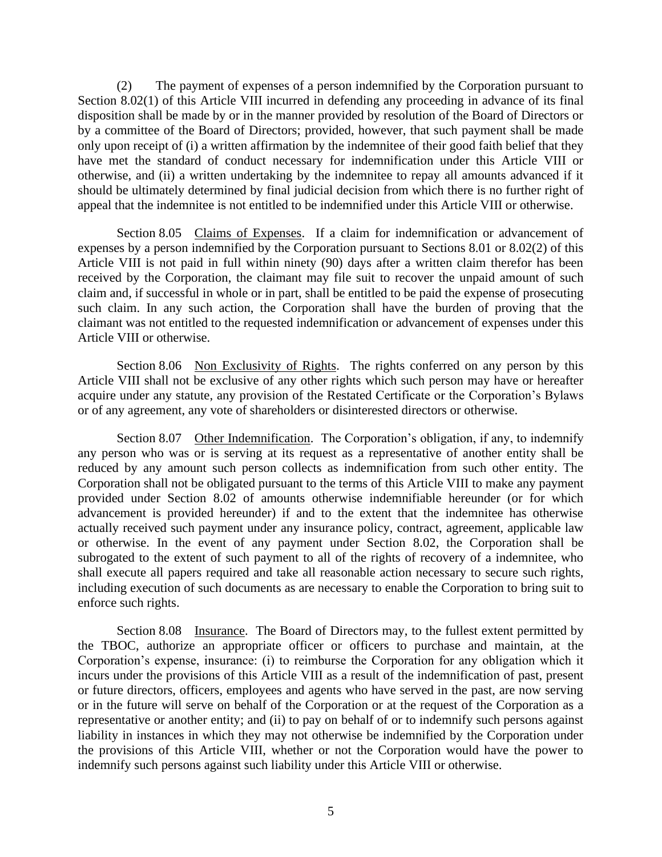(2) The payment of expenses of a person indemnified by the Corporation pursuant to Section 8.02(1) of this Article VIII incurred in defending any proceeding in advance of its final disposition shall be made by or in the manner provided by resolution of the Board of Directors or by a committee of the Board of Directors; provided, however, that such payment shall be made only upon receipt of (i) a written affirmation by the indemnitee of their good faith belief that they have met the standard of conduct necessary for indemnification under this Article VIII or otherwise, and (ii) a written undertaking by the indemnitee to repay all amounts advanced if it should be ultimately determined by final judicial decision from which there is no further right of appeal that the indemnitee is not entitled to be indemnified under this Article VIII or otherwise.

Section 8.05 Claims of Expenses. If a claim for indemnification or advancement of expenses by a person indemnified by the Corporation pursuant to Sections 8.01 or 8.02(2) of this Article VIII is not paid in full within ninety (90) days after a written claim therefor has been received by the Corporation, the claimant may file suit to recover the unpaid amount of such claim and, if successful in whole or in part, shall be entitled to be paid the expense of prosecuting such claim. In any such action, the Corporation shall have the burden of proving that the claimant was not entitled to the requested indemnification or advancement of expenses under this Article VIII or otherwise.

Section 8.06 Non Exclusivity of Rights. The rights conferred on any person by this Article VIII shall not be exclusive of any other rights which such person may have or hereafter acquire under any statute, any provision of the Restated Certificate or the Corporation's Bylaws or of any agreement, any vote of shareholders or disinterested directors or otherwise.

Section 8.07 Other Indemnification. The Corporation's obligation, if any, to indemnify any person who was or is serving at its request as a representative of another entity shall be reduced by any amount such person collects as indemnification from such other entity. The Corporation shall not be obligated pursuant to the terms of this Article VIII to make any payment provided under Section 8.02 of amounts otherwise indemnifiable hereunder (or for which advancement is provided hereunder) if and to the extent that the indemnitee has otherwise actually received such payment under any insurance policy, contract, agreement, applicable law or otherwise. In the event of any payment under Section 8.02, the Corporation shall be subrogated to the extent of such payment to all of the rights of recovery of a indemnitee, who shall execute all papers required and take all reasonable action necessary to secure such rights, including execution of such documents as are necessary to enable the Corporation to bring suit to enforce such rights.

Section 8.08 Insurance. The Board of Directors may, to the fullest extent permitted by the TBOC, authorize an appropriate officer or officers to purchase and maintain, at the Corporation's expense, insurance: (i) to reimburse the Corporation for any obligation which it incurs under the provisions of this Article VIII as a result of the indemnification of past, present or future directors, officers, employees and agents who have served in the past, are now serving or in the future will serve on behalf of the Corporation or at the request of the Corporation as a representative or another entity; and (ii) to pay on behalf of or to indemnify such persons against liability in instances in which they may not otherwise be indemnified by the Corporation under the provisions of this Article VIII, whether or not the Corporation would have the power to indemnify such persons against such liability under this Article VIII or otherwise.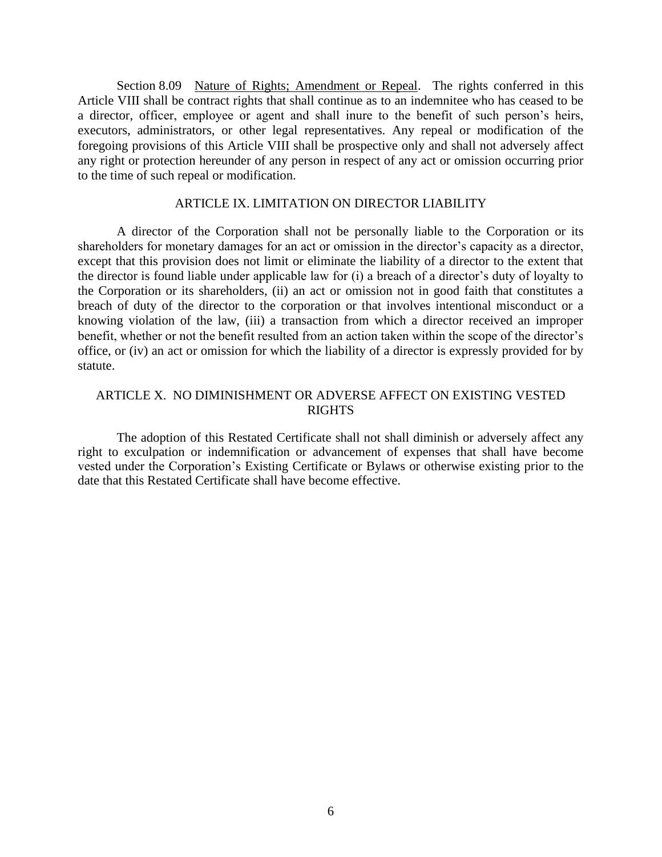Section 8.09 Nature of Rights; Amendment or Repeal. The rights conferred in this Article VIII shall be contract rights that shall continue as to an indemnitee who has ceased to be a director, officer, employee or agent and shall inure to the benefit of such person's heirs, executors, administrators, or other legal representatives. Any repeal or modification of the foregoing provisions of this Article VIII shall be prospective only and shall not adversely affect any right or protection hereunder of any person in respect of any act or omission occurring prior to the time of such repeal or modification.

# ARTICLE IX. LIMITATION ON DIRECTOR LIABILITY

A director of the Corporation shall not be personally liable to the Corporation or its shareholders for monetary damages for an act or omission in the director's capacity as a director, except that this provision does not limit or eliminate the liability of a director to the extent that the director is found liable under applicable law for (i) a breach of a director's duty of loyalty to the Corporation or its shareholders, (ii) an act or omission not in good faith that constitutes a breach of duty of the director to the corporation or that involves intentional misconduct or a knowing violation of the law, (iii) a transaction from which a director received an improper benefit, whether or not the benefit resulted from an action taken within the scope of the director's office, or (iv) an act or omission for which the liability of a director is expressly provided for by statute.

# ARTICLE X. NO DIMINISHMENT OR ADVERSE AFFECT ON EXISTING VESTED RIGHTS

The adoption of this Restated Certificate shall not shall diminish or adversely affect any right to exculpation or indemnification or advancement of expenses that shall have become vested under the Corporation's Existing Certificate or Bylaws or otherwise existing prior to the date that this Restated Certificate shall have become effective.